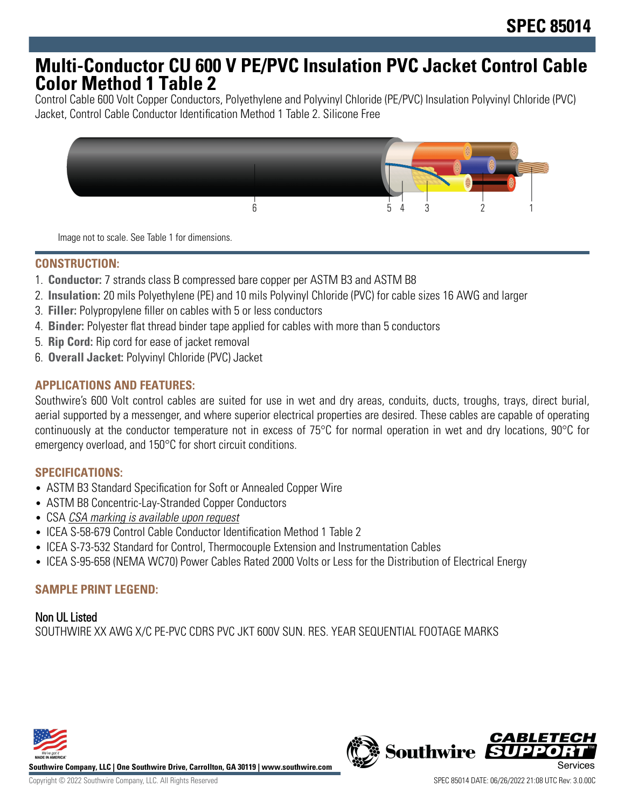## **Multi-Conductor CU 600 V PE/PVC Insulation PVC Jacket Control Cable Color Method 1 Table 2**

Control Cable 600 Volt Copper Conductors, Polyethylene and Polyvinyl Chloride (PE/PVC) Insulation Polyvinyl Chloride (PVC) Jacket, Control Cable Conductor Identification Method 1 Table 2. Silicone Free



Image not to scale. See Table 1 for dimensions.

#### **CONSTRUCTION:**

- 1. **Conductor:** 7 strands class B compressed bare copper per ASTM B3 and ASTM B8
- 2. **Insulation:** 20 mils Polyethylene (PE) and 10 mils Polyvinyl Chloride (PVC) for cable sizes 16 AWG and larger
- 3. **Filler:** Polypropylene filler on cables with 5 or less conductors
- 4. **Binder:** Polyester flat thread binder tape applied for cables with more than 5 conductors
- 5. **Rip Cord:** Rip cord for ease of jacket removal
- 6. **Overall Jacket:** Polyvinyl Chloride (PVC) Jacket

#### **APPLICATIONS AND FEATURES:**

Southwire's 600 Volt control cables are suited for use in wet and dry areas, conduits, ducts, troughs, trays, direct burial, aerial supported by a messenger, and where superior electrical properties are desired. These cables are capable of operating continuously at the conductor temperature not in excess of 75°C for normal operation in wet and dry locations, 90°C for emergency overload, and 150°C for short circuit conditions.

#### **SPECIFICATIONS:**

- ASTM B3 Standard Specification for Soft or Annealed Copper Wire
- ASTM B8 Concentric-Lay-Stranded Copper Conductors
- CSA CSA marking is available upon request
- ICEA S-58-679 Control Cable Conductor Identification Method 1 Table 2
- ICEA S-73-532 Standard for Control, Thermocouple Extension and Instrumentation Cables
- ICEA S-95-658 (NEMA WC70) Power Cables Rated 2000 Volts or Less for the Distribution of Electrical Energy

#### **SAMPLE PRINT LEGEND:**

Non UL Listed SOUTHWIRE XX AWG X/C PE-PVC CDRS PVC JKT 600V SUN. RES. YEAR SEQUENTIAL FOOTAGE MARKS



**Southwire Company, LLC | One Southwire Drive, Carrollton, GA 30119 | www.southwire.com**

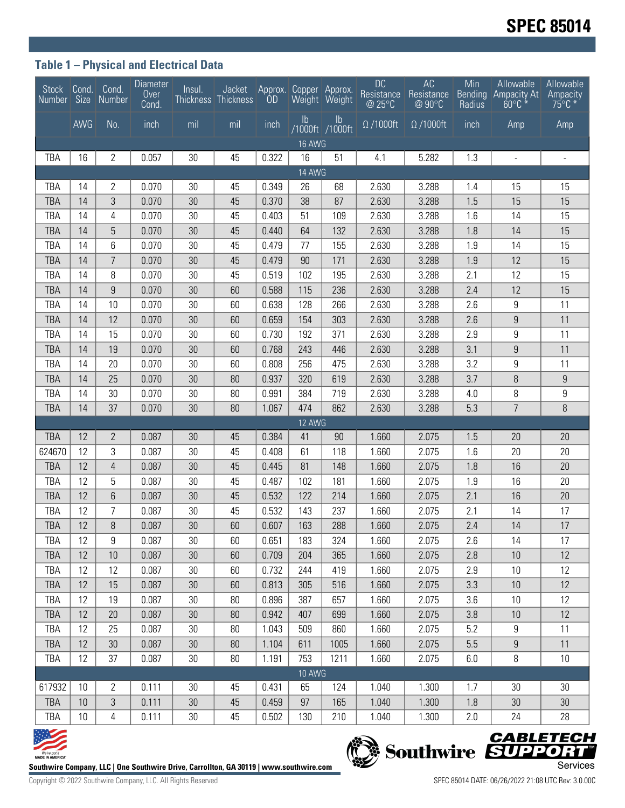### **Table 1 – Physical and Electrical Data**

| Stock                                                                                              | Cond.    | Cond.<br>Number Size Number | Diameter<br>Over<br>Cond. | Insul.   | Jacket<br>Thickness Thickness | <b>OD</b> | Approx. Copper Approx. | Weight Weight         | <b>DC</b><br>Resistance<br>@ 25°C | AC<br>Resistance<br>@ 90°C | Min<br><b>Bending</b><br>Radius | <b>Allowable</b><br><b>Ampacity At</b><br>$60^{\circ}$ C | Allowable<br>Ampacity<br>$75^{\circ}$ C * |
|----------------------------------------------------------------------------------------------------|----------|-----------------------------|---------------------------|----------|-------------------------------|-----------|------------------------|-----------------------|-----------------------------------|----------------------------|---------------------------------|----------------------------------------------------------|-------------------------------------------|
|                                                                                                    | AWG      | No.                         | inch                      | mil      | mil                           | inch      | $\mathsf{lb}$          | Ib<br>/1000ft /1000ft | $\Omega$ /1000ft                  | $\Omega$ /1000ft           | inch                            | Amp                                                      | Amp                                       |
| <b>16 AWG</b>                                                                                      |          |                             |                           |          |                               |           |                        |                       |                                   |                            |                                 |                                                          |                                           |
| TBA                                                                                                | 16       | 2                           | 0.057                     | 30       | 45                            | 0.322     | 16                     | 51                    | 4.1                               | 5.282                      | 1.3                             | $\frac{1}{2}$                                            | $\overline{\phantom{a}}$                  |
| 14 AWG                                                                                             |          |                             |                           |          |                               |           |                        |                       |                                   |                            |                                 |                                                          |                                           |
| TBA                                                                                                | 14       | 2                           | 0.070                     | 30       | 45                            | 0.349     | 26                     | 68                    | 2.630                             | 3.288                      | 1.4                             | 15                                                       | 15                                        |
| <b>TBA</b>                                                                                         | 14       | 3                           | 0.070                     | 30       | 45                            | 0.370     | 38                     | 87                    | 2.630                             | 3.288                      | 1.5                             | 15                                                       | 15                                        |
| TBA                                                                                                | 14       | 4                           | 0.070                     | 30       | 45                            | 0.403     | 51                     | 109                   | 2.630                             | 3.288                      | 1.6                             | 14                                                       | 15                                        |
| <b>TBA</b>                                                                                         | 14       | 5                           | 0.070                     | 30       | 45                            | 0.440     | 64                     | 132                   | 2.630                             | 3.288                      | 1.8                             | 14                                                       | 15                                        |
| TBA                                                                                                | 14       | 6                           | 0.070                     | 30       | 45                            | 0.479     | 77                     | 155                   | 2.630                             | 3.288                      | 1.9                             | 14                                                       | 15                                        |
| <b>TBA</b>                                                                                         | 14       | $\overline{7}$              | 0.070                     | 30       | 45                            | 0.479     | 90                     | 171                   | 2.630                             | 3.288                      | 1.9                             | 12                                                       | 15                                        |
| TBA                                                                                                | 14       | 8                           | 0.070                     | 30       | 45                            | 0.519     | 102                    | 195                   | 2.630                             | 3.288                      | 2.1                             | 12                                                       | 15                                        |
| <b>TBA</b>                                                                                         | 14       | 9                           | 0.070                     | 30       | 60                            | 0.588     | 115                    | 236                   | 2.630                             | 3.288                      | 2.4                             | 12                                                       | 15                                        |
| TBA                                                                                                | 14       | 10                          | 0.070                     | 30       | 60                            | 0.638     | 128                    | 266                   | 2.630                             | 3.288                      | 2.6                             | 9                                                        | 11                                        |
| <b>TBA</b>                                                                                         | 14       | 12                          | 0.070                     | 30       | 60                            | 0.659     | 154                    | 303                   | 2.630                             | 3.288                      | 2.6                             | $\boldsymbol{9}$                                         | 11                                        |
| TBA                                                                                                | 14       | 15                          | 0.070                     | 30       | 60                            | 0.730     | 192                    | 371                   | 2.630                             | 3.288                      | 2.9                             | 9                                                        | 11                                        |
| <b>TBA</b>                                                                                         | 14       | 19                          | 0.070                     | 30       | 60                            | 0.768     | 243                    | 446                   | 2.630                             | 3.288                      | 3.1                             | $9\,$                                                    | 11                                        |
| TBA                                                                                                | 14       | 20                          | 0.070                     | 30       | 60                            | 0.808     | 256                    | 475                   | 2.630                             | 3.288                      | 3.2                             | 9                                                        | 11                                        |
| <b>TBA</b><br>TBA                                                                                  | 14<br>14 | 25<br>30                    | 0.070                     | 30<br>30 | 80                            | 0.937     | 320<br>384             | 619                   | 2.630                             | 3.288<br>3.288             | 3.7                             | 8                                                        | 9                                         |
|                                                                                                    |          | 37                          | 0.070                     | 30       | 80                            | 0.991     |                        | 719                   | 2.630                             |                            | 4.0<br>5.3                      | 8<br>$\overline{7}$                                      | 9                                         |
| <b>TBA</b>                                                                                         | 14       |                             | 0.070                     |          | 80                            | 1.067     | 474<br>12 AWG          | 862                   | 2.630                             | 3.288                      |                                 |                                                          | $\, 8$                                    |
| <b>TBA</b>                                                                                         | 12       | $\mathbf{2}$                | 0.087                     | 30       | 45                            | 0.384     | 41                     | 90                    | 1.660                             | 2.075                      | 1.5                             | 20                                                       | 20                                        |
| 624670                                                                                             | 12       | 3                           | 0.087                     | 30       | 45                            | 0.408     | 61                     | 118                   | 1.660                             | 2.075                      | 1.6                             | 20                                                       | 20                                        |
| <b>TBA</b>                                                                                         | 12       | 4                           | 0.087                     | 30       | 45                            | 0.445     | 81                     | 148                   | 1.660                             | 2.075                      | 1.8                             | 16                                                       | 20                                        |
| TBA                                                                                                | 12       | 5                           | 0.087                     | 30       | 45                            | 0.487     | 102                    | 181                   | 1.660                             | 2.075                      | 1.9                             | 16                                                       | 20                                        |
| <b>TBA</b>                                                                                         | 12       | 6                           | 0.087                     | 30       | 45                            | 0.532     | 122                    | 214                   | 1.660                             | 2.075                      | 2.1                             | 16                                                       | 20                                        |
| <b>TBA</b>                                                                                         | 12       | $\overline{7}$              | 0.087                     | 30       | 45                            | 0.532     | 143                    | 237                   | 1.660                             | 2.075                      | 2.1                             | 14                                                       | 17                                        |
| <b>TBA</b>                                                                                         | 12       | 8                           | 0.087                     | 30       | 60                            | 0.607     | 163                    | 288                   | 1.660                             | 2.075                      | 2.4                             | 14                                                       | 17                                        |
| TBA                                                                                                | 12       | 9                           | 0.087                     | 30       | 60                            | 0.651     | 183                    | 324                   | 1.660                             | 2.075                      | 2.6                             | 14                                                       | 17                                        |
| <b>TBA</b>                                                                                         | 12       | 10                          | 0.087                     | 30       | 60                            | 0.709     | 204                    | 365                   | 1.660                             | 2.075                      | 2.8                             | 10                                                       | 12                                        |
| TBA                                                                                                | 12       | 12                          | 0.087                     | 30       | 60                            | 0.732     | 244                    | 419                   | 1.660                             | 2.075                      | 2.9                             | 10                                                       | 12                                        |
| <b>TBA</b>                                                                                         | 12       | 15                          | 0.087                     | 30       | 60                            | 0.813     | 305                    | 516                   | 1.660                             | 2.075                      | 3.3                             | 10                                                       | 12                                        |
| <b>TBA</b>                                                                                         | 12       | 19                          | 0.087                     | 30       | 80                            | 0.896     | 387                    | 657                   | 1.660                             | 2.075                      | 3.6                             | 10                                                       | 12                                        |
| <b>TBA</b>                                                                                         | 12       | 20                          | 0.087                     | 30       | 80                            | 0.942     | 407                    | 699                   | 1.660                             | 2.075                      | 3.8                             | 10                                                       | 12                                        |
| TBA                                                                                                | 12       | 25                          | 0.087                     | 30       | 80                            | 1.043     | 509                    | 860                   | 1.660                             | 2.075                      | 5.2                             | 9                                                        | 11                                        |
| <b>TBA</b>                                                                                         | 12       | 30                          | 0.087                     | 30       | 80                            | 1.104     | 611                    | 1005                  | 1.660                             | 2.075                      | 5.5                             | 9                                                        | 11                                        |
| TBA                                                                                                | 12       | 37                          | 0.087                     | $30\,$   | 80                            | 1.191     | 753                    | 1211                  | 1.660                             | 2.075                      | 6.0                             | 8                                                        | 10                                        |
| <b>10 AWG</b>                                                                                      |          |                             |                           |          |                               |           |                        |                       |                                   |                            |                                 |                                                          |                                           |
| 617932                                                                                             | 10       | 2                           | 0.111                     | 30       | 45                            | 0.431     | 65                     | 124                   | 1.040                             | 1.300                      | 1.7                             | 30                                                       | 30                                        |
| TBA                                                                                                | 10       | 3                           | 0.111                     | 30       | 45                            | 0.459     | 97                     | 165                   | 1.040                             | 1.300                      | 1.8                             | 30                                                       | 30                                        |
| <b>TBA</b>                                                                                         | 10       | 4                           | 0.111                     | $30\,$   | 45                            | 0.502     | 130                    | 210                   | 1.040                             | 1.300                      | 2.0                             | 24                                                       | 28                                        |
|                                                                                                    |          |                             |                           |          |                               |           |                        |                       |                                   |                            |                                 |                                                          |                                           |
| Southwire SUPPORT<br><b>MADE IN AMERICA</b>                                                        |          |                             |                           |          |                               |           |                        |                       |                                   |                            |                                 |                                                          |                                           |
| Services<br>Southwire Company, LLC   One Southwire Drive, Carrollton, GA 30119   www.southwire.com |          |                             |                           |          |                               |           |                        |                       |                                   |                            |                                 |                                                          |                                           |